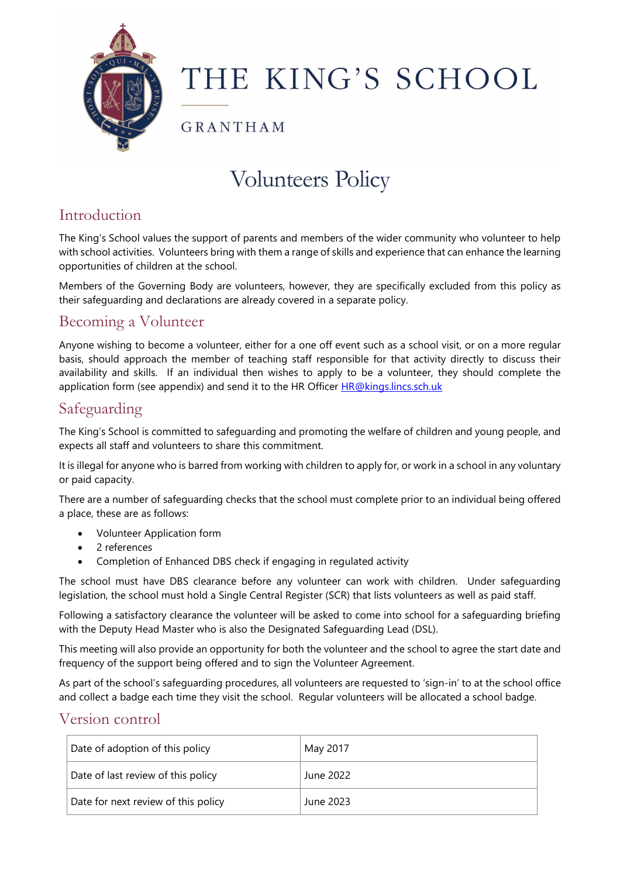

# THE KING'S SCHOOL

GRANTHAM

## Volunteers Policy

### Introduction

The King's School values the support of parents and members of the wider community who volunteer to help with school activities. Volunteers bring with them a range of skills and experience that can enhance the learning opportunities of children at the school.

Members of the Governing Body are volunteers, however, they are specifically excluded from this policy as their safeguarding and declarations are already covered in a separate policy.

#### Becoming a Volunteer

Anyone wishing to become a volunteer, either for a one off event such as a school visit, or on a more regular basis, should approach the member of teaching staff responsible for that activity directly to discuss their availability and skills. If an individual then wishes to apply to be a volunteer, they should complete the application form (see appendix) and send it to the HR Officer [HR@kings.lincs.sch.uk](mailto:HR@kings.lincs.sch.uk)

#### Safeguarding

The King's School is committed to safeguarding and promoting the welfare of children and young people, and expects all staff and volunteers to share this commitment.

It is illegal for anyone who is barred from working with children to apply for, or work in a school in any voluntary or paid capacity.

There are a number of safeguarding checks that the school must complete prior to an individual being offered a place, these are as follows:

- Volunteer Application form
- 2 references
- Completion of Enhanced DBS check if engaging in regulated activity

The school must have DBS clearance before any volunteer can work with children. Under safeguarding legislation, the school must hold a Single Central Register (SCR) that lists volunteers as well as paid staff.

Following a satisfactory clearance the volunteer will be asked to come into school for a safeguarding briefing with the Deputy Head Master who is also the Designated Safeguarding Lead (DSL).

This meeting will also provide an opportunity for both the volunteer and the school to agree the start date and frequency of the support being offered and to sign the Volunteer Agreement.

As part of the school's safeguarding procedures, all volunteers are requested to 'sign-in' to at the school office and collect a badge each time they visit the school. Regular volunteers will be allocated a school badge.

#### Version control

| Date of adoption of this policy     | May 2017  |
|-------------------------------------|-----------|
| Date of last review of this policy  | June 2022 |
| Date for next review of this policy | June 2023 |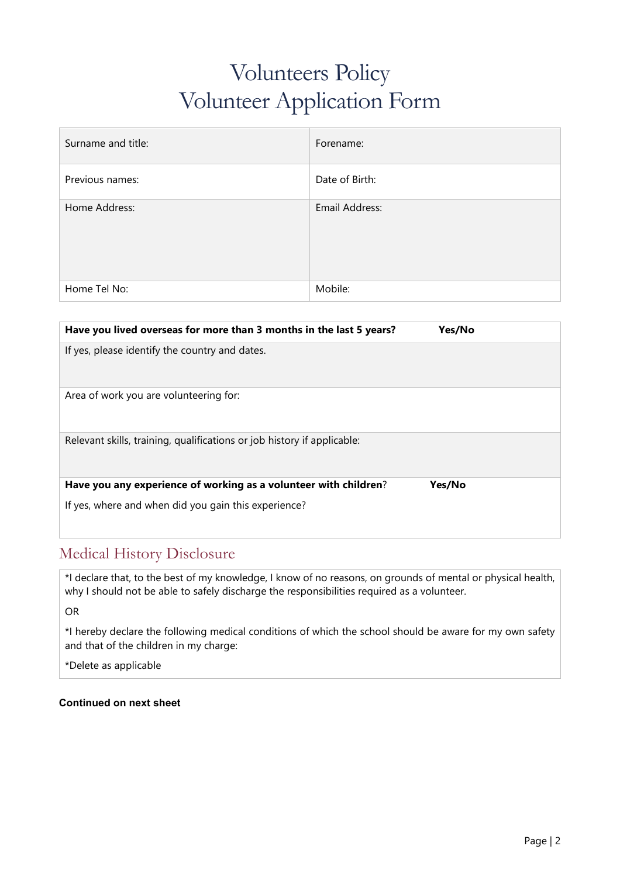### Volunteers Policy Volunteer Application Form

| Surname and title: | Forename:      |
|--------------------|----------------|
| Previous names:    | Date of Birth: |
| Home Address:      | Email Address: |
| Home Tel No:       | Mobile:        |

| Have you lived overseas for more than 3 months in the last 5 years?<br>Yes/No |  |
|-------------------------------------------------------------------------------|--|
| If yes, please identify the country and dates.                                |  |
|                                                                               |  |
| Area of work you are volunteering for:                                        |  |
|                                                                               |  |
| Relevant skills, training, qualifications or job history if applicable:       |  |
|                                                                               |  |
| Have you any experience of working as a volunteer with children?<br>Yes/No    |  |
| If yes, where and when did you gain this experience?                          |  |
|                                                                               |  |

#### Medical History Disclosure

\*I declare that, to the best of my knowledge, I know of no reasons, on grounds of mental or physical health, why I should not be able to safely discharge the responsibilities required as a volunteer.

OR

\*I hereby declare the following medical conditions of which the school should be aware for my own safety and that of the children in my charge:

\*Delete as applicable

#### **Continued on next sheet**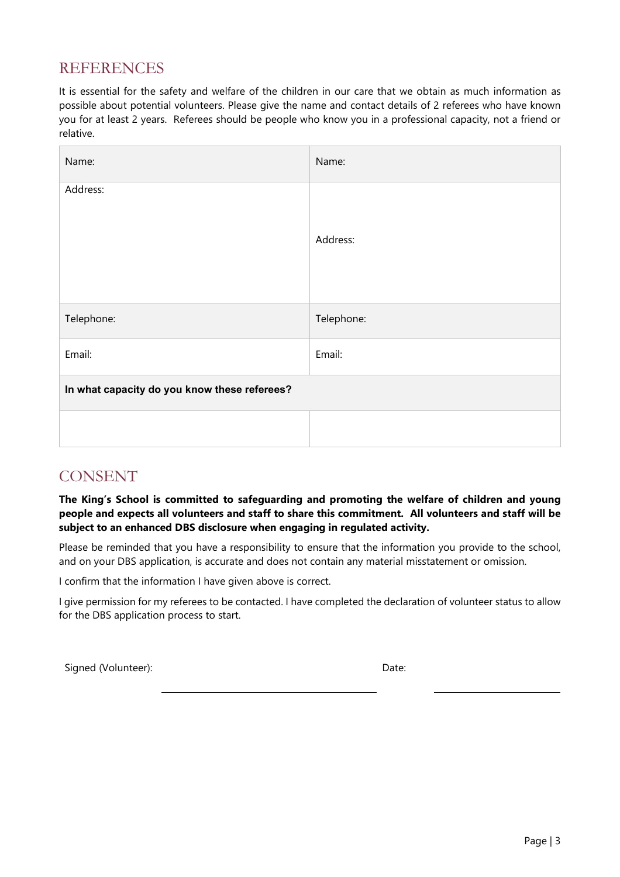#### REFERENCES

It is essential for the safety and welfare of the children in our care that we obtain as much information as possible about potential volunteers. Please give the name and contact details of 2 referees who have known you for at least 2 years. Referees should be people who know you in a professional capacity, not a friend or relative.

| Name:                                        | Name:      |
|----------------------------------------------|------------|
| Address:                                     | Address:   |
| Telephone:                                   | Telephone: |
| Email:                                       | Email:     |
| In what capacity do you know these referees? |            |
|                                              |            |

#### CONSENT

**The King's School is committed to safeguarding and promoting the welfare of children and young people and expects all volunteers and staff to share this commitment. All volunteers and staff will be subject to an enhanced DBS disclosure when engaging in regulated activity.**

Please be reminded that you have a responsibility to ensure that the information you provide to the school, and on your DBS application, is accurate and does not contain any material misstatement or omission.

I confirm that the information I have given above is correct.

I give permission for my referees to be contacted. I have completed the declaration of volunteer status to allow for the DBS application process to start.

Signed (Volunteer): Date: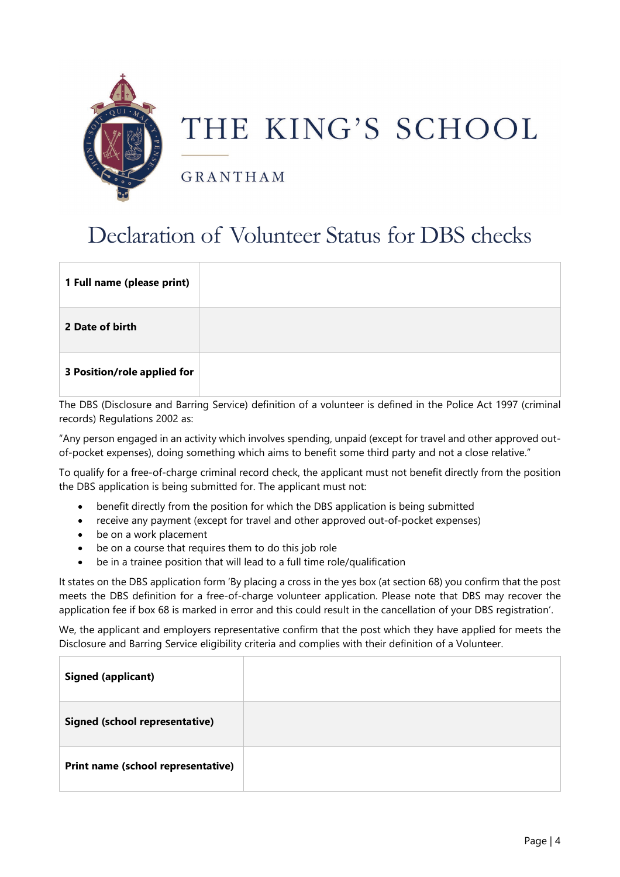

## THE KING'S SCHOOL

GRANTHAM

### Declaration of Volunteer Status for DBS checks

| 1 Full name (please print)  |  |
|-----------------------------|--|
| 2 Date of birth             |  |
| 3 Position/role applied for |  |

The DBS (Disclosure and Barring Service) definition of a volunteer is defined in the Police Act 1997 (criminal records) Regulations 2002 as:

"Any person engaged in an activity which involves spending, unpaid (except for travel and other approved outof-pocket expenses), doing something which aims to benefit some third party and not a close relative."

To qualify for a free-of-charge criminal record check, the applicant must not benefit directly from the position the DBS application is being submitted for. The applicant must not:

- benefit directly from the position for which the DBS application is being submitted
- receive any payment (except for travel and other approved out-of-pocket expenses)
- be on a work placement
- be on a course that requires them to do this job role
- be in a trainee position that will lead to a full time role/qualification

It states on the DBS application form 'By placing a cross in the yes box (at section 68) you confirm that the post meets the DBS definition for a free-of-charge volunteer application. Please note that DBS may recover the application fee if box 68 is marked in error and this could result in the cancellation of your DBS registration'.

We, the applicant and employers representative confirm that the post which they have applied for meets the Disclosure and Barring Service eligibility criteria and complies with their definition of a Volunteer.

| <b>Signed (applicant)</b>             |  |
|---------------------------------------|--|
| <b>Signed (school representative)</b> |  |
| Print name (school representative)    |  |